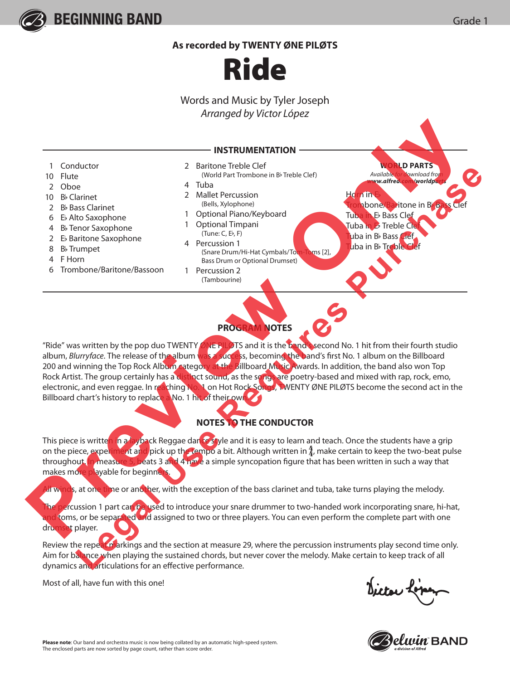

### **As recorded by TWENTY ØNE PILØTS**



Words and Music by Tyler Joseph *Arranged by Victor López*

### **INSTRUMENTATION**

- 1 Conductor
- 10 Flute
- 2 Oboe
- 10 Bb Clarinet
- 2 B<sub>b</sub> Bass Clarinet
- 6 Eb Alto Saxophone
- 4 Bb Tenor Saxophone
- 2 Eb Baritone Saxophone
- 8 Bb Trumpet
- 4 F Horn
- 6 Trombone/Baritone/Bassoon
- 2 Baritone Treble Clef (World Part Trombone in Bb Treble Clef)
- 4 Tuba
- 2 Mallet Percussion (Bells, Xylophone)
- 1 Optional Piano/Keyboard
- 1 Optional Timpani (Tune: C, Eb, F)
- 4 Percussion 1 (Snare Drum/Hi-Hat Cymbals/Tom-Toms [2], Bass Drum or Optional Drumset)
- 1 Percussion 2 (Tambourine)

*Available for download from www.alfred.com/worldparts* Horn in **Abone/Baritone in BL Bass Clef** Tuba in Eb Bass Clef Tuba in E<sup>l</sup> Treble Cle uba in B<sub>b</sub> Bass Clef uba in B<sub>b</sub> Treble

**WORLD PARTS**

# **PROGRAM NOTES**

"Ride" was written by the pop duo TWENTY ØNE PILØTS and it is the band's second No. 1 hit from their fourth studio album, *Blurryface*. The release of the album was a success, becoming the band's first No. 1 album on the Billboard 200 and winning the Top Rock Album category at the Billboard Music Awards. In addition, the band also won Top Rock Artist. The group certainly has a distinct sound, as the songs are poetry-based and mixed with rap, rock, emo, electronic, and even reggae. In reaching No. 1 on Hot Rock Songs, TWENTY ØNE PILØTS become the second act in the Billboard chart's history to replace a No. 1 hit of their own **Prediction Constitution Constitution Constitution Constitution Constitution Constitution Constitution Constitution Constitution Constitution Constitution Constitution Constitution Constitution Constitution Constitution Co** Example the term of the term of the term of the second number in the second term in the second term of the term of the second term of the second term of the second term of the second term of the second term of the second t

## **NOTES TO THE CONDUCTOR**

This piece is written in a layback Reggae dance style and it is easy to learn and teach. Once the students have a grip on the piece, experiment and pick up the tempo a bit. Although written in  $\frac{4}{4}$ , make certain to keep the two-beat pulse throughout. In measure 5, beats 3 and 4 have a simple syncopation figure that has been written in such a way that makes more playable for beginners.

All winds, at one time or another, with the exception of the bass clarinet and tuba, take turns playing the melody.

**Proussion 1 part can be used to introduce your snare drummer to two-handed work incorporating snare, hi-hat,** toms, or be separated and assigned to two or three players. You can even perform the complete part with one drumset player.

Review the repeat markings and the section at measure 29, where the percussion instruments play second time only. Aim for balance when playing the sustained chords, but never cover the melody. Make certain to keep track of all dynamics and articulations for an effective performance.

Most of all, have fun with this one!

Dictor Lopen



**Please note**: Our band and orchestra music is now being collated by an automatic high-speed system. The enclosed parts are now sorted by page count, rather than score order.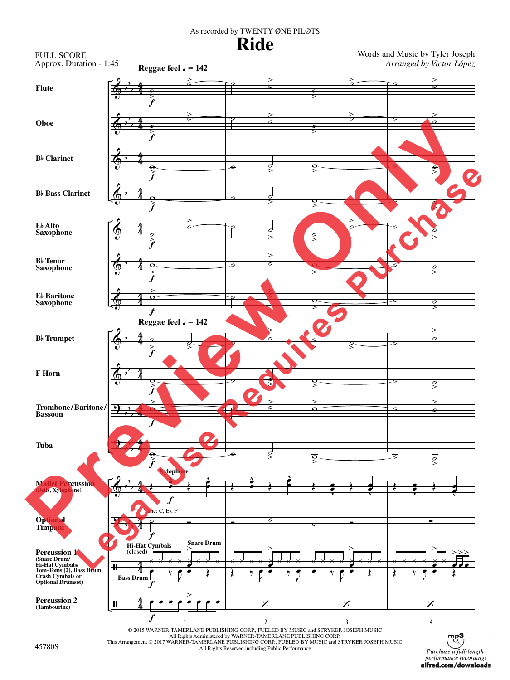#### As recorded by TWENTY ØNE PILØTS

| f | Æ. |
|---|----|
|   |    |



All Rights Reserved including Public Performance

45780S

<mark>mp3</mark><br>( ွပ Purchase a full-length<br>performance recording!<br>**alfred.com/downloads**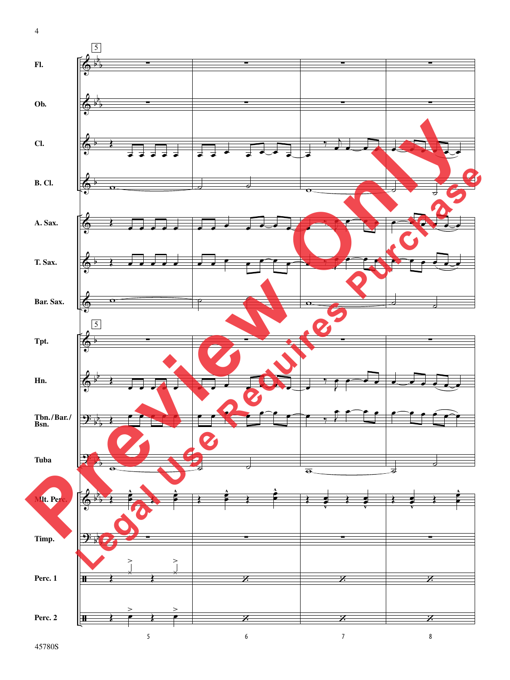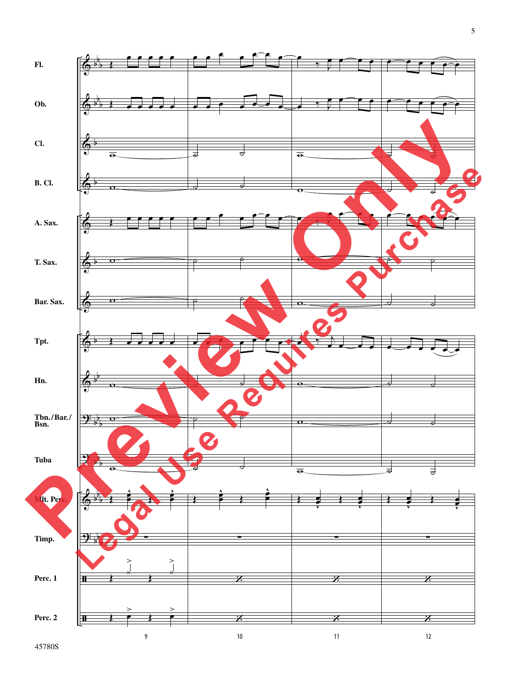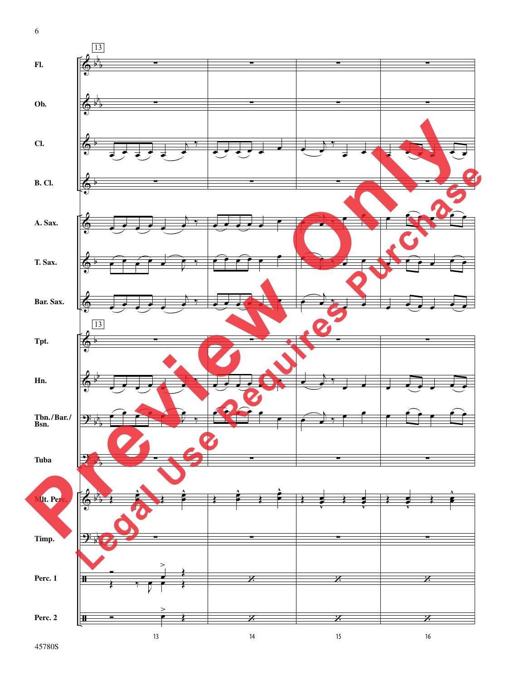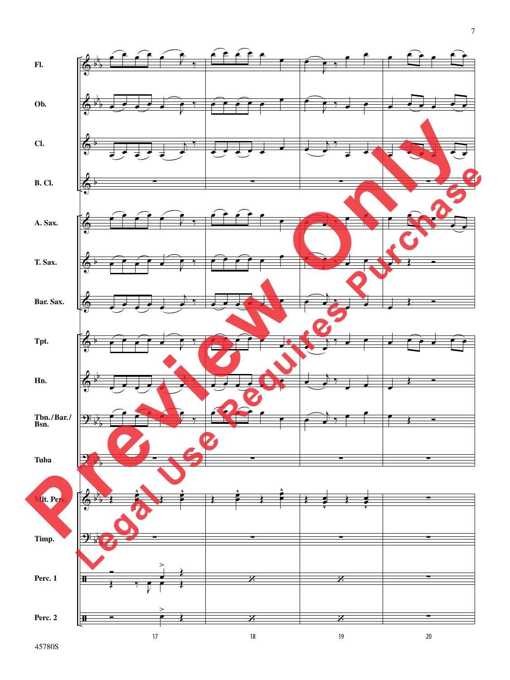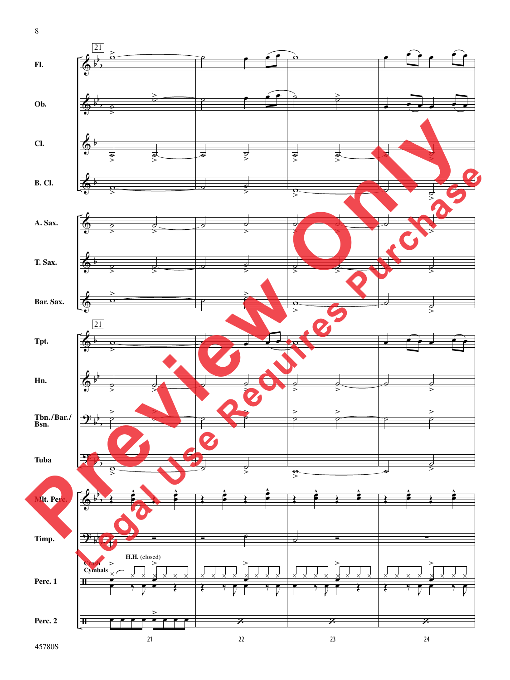

45780S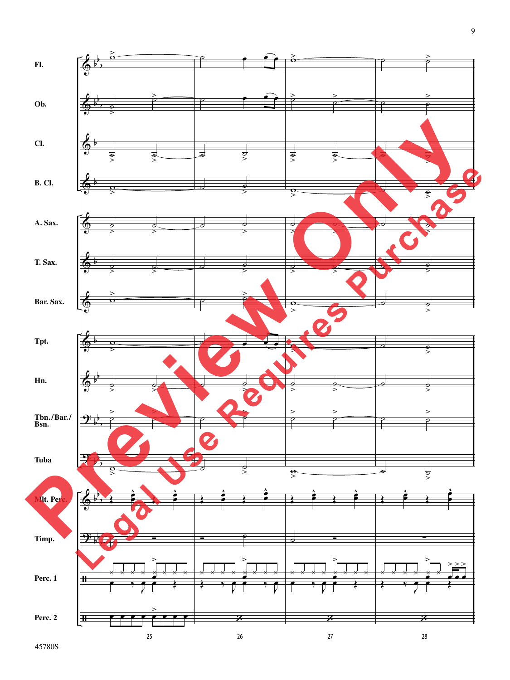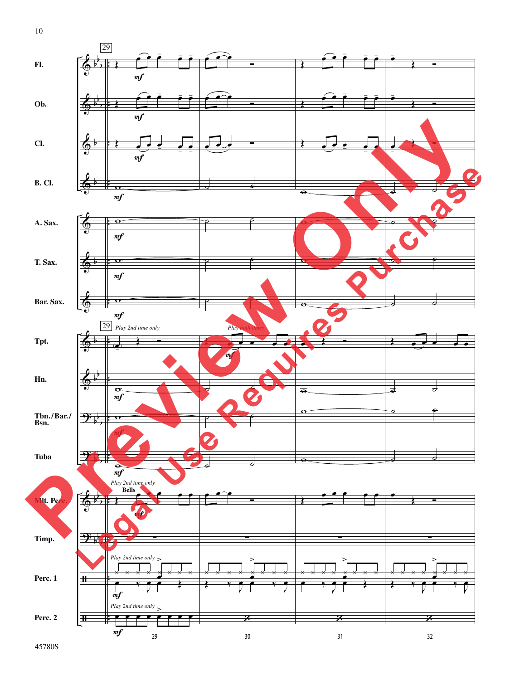

 $10\,$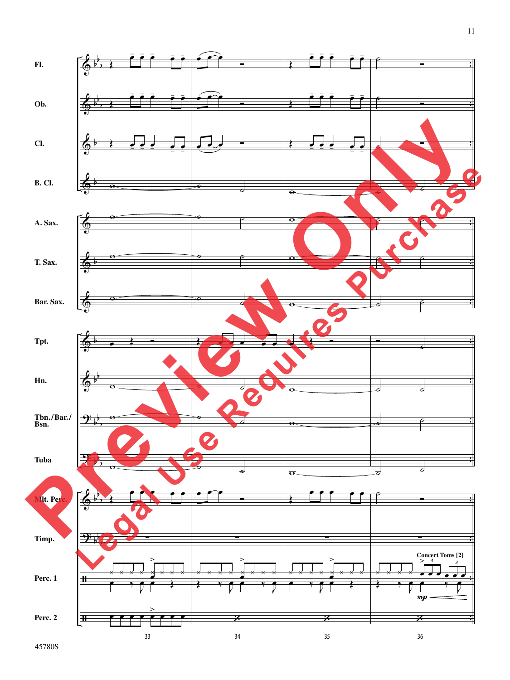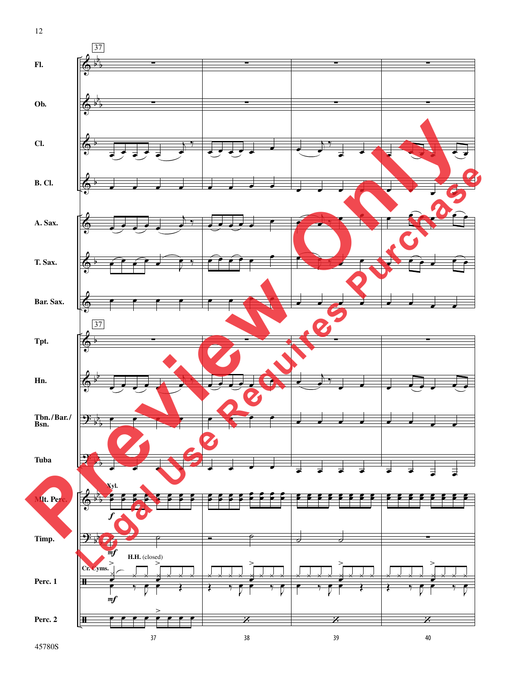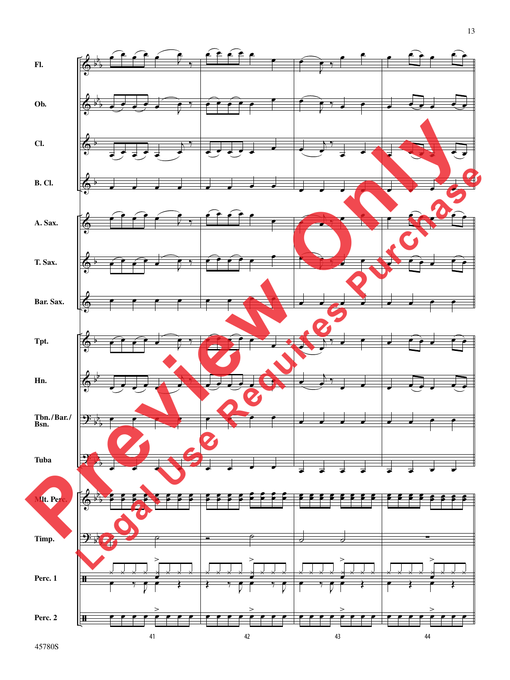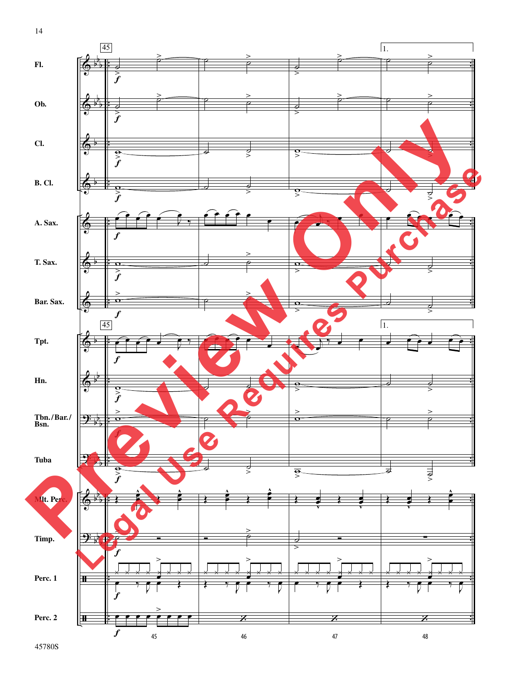

45780S